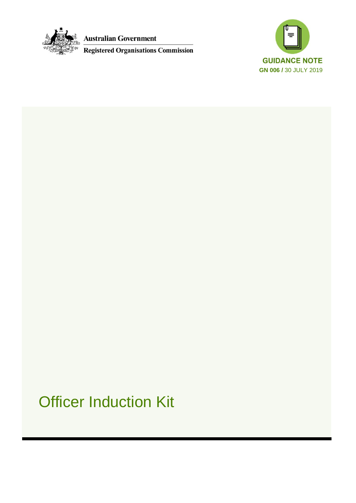

**Australian Government** 

**Registered Organisations Commission** 



# Officer Induction Kit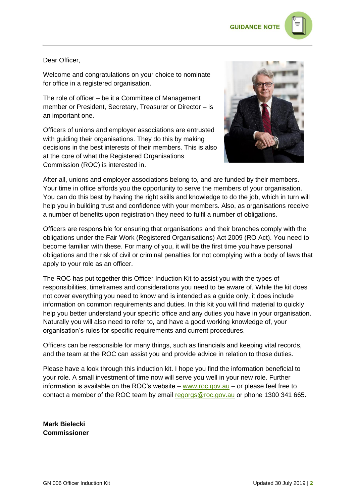

#### Dear Officer,

Welcome and congratulations on your choice to nominate for office in a registered organisation.

The role of officer – be it a Committee of Management member or President, Secretary, Treasurer or Director – is an important one.

Officers of unions and employer associations are entrusted with guiding their organisations. They do this by making decisions in the best interests of their members. This is also at the core of what the Registered Organisations Commission (ROC) is interested in.



After all, unions and employer associations belong to, and are funded by their members. Your time in office affords you the opportunity to serve the members of your organisation. You can do this best by having the right skills and knowledge to do the job, which in turn will help you in building trust and confidence with your members. Also, as organisations receive a number of benefits upon registration they need to fulfil a number of obligations.

Officers are responsible for ensuring that organisations and their branches comply with the obligations under the Fair Work (Registered Organisations) Act 2009 (RO Act). You need to become familiar with these. For many of you, it will be the first time you have personal obligations and the risk of civil or criminal penalties for not complying with a body of laws that apply to your role as an officer.

The ROC has put together this Officer Induction Kit to assist you with the types of responsibilities, timeframes and considerations you need to be aware of. While the kit does not cover everything you need to know and is intended as a guide only, it does include information on common requirements and duties. In this kit you will find material to quickly help you better understand your specific office and any duties you have in your organisation. Naturally you will also need to refer to, and have a good working knowledge of, your organisation's rules for specific requirements and current procedures.

Officers can be responsible for many things, such as financials and keeping vital records, and the team at the ROC can assist you and provide advice in relation to those duties.

Please have a look through this induction kit. I hope you find the information beneficial to your role. A small investment of time now will serve you well in your new role. Further information is available on the ROC's website – [www.roc.gov.au](http://www.roc.gov.au/) – or please feel free to contact a member of the ROC team by email [regorgs@roc.gov.au](mailto:regorgs@roc.gov.au) or phone 1300 341 665.

**Mark Bielecki Commissioner**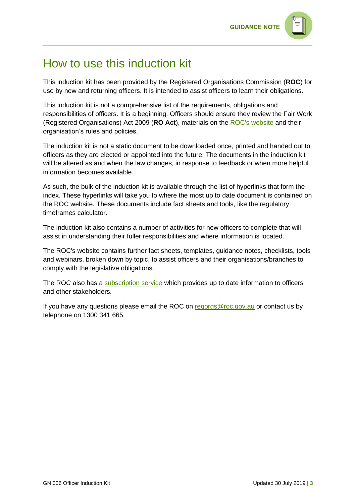

### How to use this induction kit

This induction kit has been provided by the Registered Organisations Commission (**ROC**) for use by new and returning officers. It is intended to assist officers to learn their obligations.

This induction kit is not a comprehensive list of the requirements, obligations and responsibilities of officers. It is a beginning. Officers should ensure they review the Fair Work (Registered Organisations) Act 2009 (**RO Act**), materials on the [ROC's website](https://www.roc.gov.au/) and their organisation's rules and policies.

The induction kit is not a static document to be downloaded once, printed and handed out to officers as they are elected or appointed into the future. The documents in the induction kit will be altered as and when the law changes, in response to feedback or when more helpful information becomes available.

As such, the bulk of the induction kit is available through the list of hyperlinks that form the index. These hyperlinks will take you to where the most up to date document is contained on the ROC website. These documents include fact sheets and tools, like the regulatory timeframes calculator.

The induction kit also contains a number of activities for new officers to complete that will assist in understanding their fuller responsibilities and where information is located.

The ROC's website contains further fact sheets, templates, guidance notes, checklists, tools and webinars, broken down by topic, to assist officers and their organisations/branches to comply with the legislative obligations.

The ROC also has a [subscription service](https://www.roc.gov.au/Website-information/email-updates) which provides up to date information to officers and other stakeholders.

If you have any questions please email the ROC on [regorgs@roc.gov.au](mailto:regorgs@roc.gov.au) or contact us by telephone on 1300 341 665.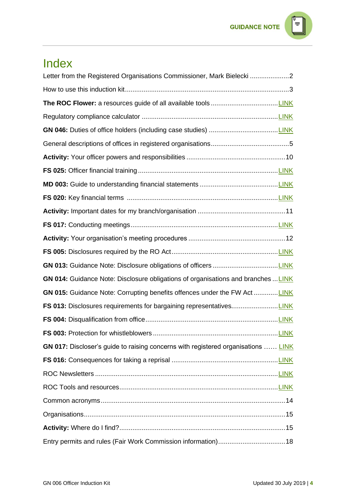### **GUIDANCE NOTE**  $\equiv$

## Index

| Letter from the Registered Organisations Commissioner, Mark Bielecki 2            |  |
|-----------------------------------------------------------------------------------|--|
|                                                                                   |  |
|                                                                                   |  |
|                                                                                   |  |
|                                                                                   |  |
|                                                                                   |  |
|                                                                                   |  |
|                                                                                   |  |
|                                                                                   |  |
|                                                                                   |  |
|                                                                                   |  |
|                                                                                   |  |
|                                                                                   |  |
|                                                                                   |  |
|                                                                                   |  |
| GN 014: Guidance Note: Disclosure obligations of organisations and branches  LINK |  |
| GN 015: Guidance Note: Corrupting benefits offences under the FW ActLINK          |  |
|                                                                                   |  |
|                                                                                   |  |
|                                                                                   |  |
| GN 017: Discloser's guide to raising concerns with registered organisations  LINK |  |
|                                                                                   |  |
|                                                                                   |  |
|                                                                                   |  |
|                                                                                   |  |
|                                                                                   |  |
|                                                                                   |  |
|                                                                                   |  |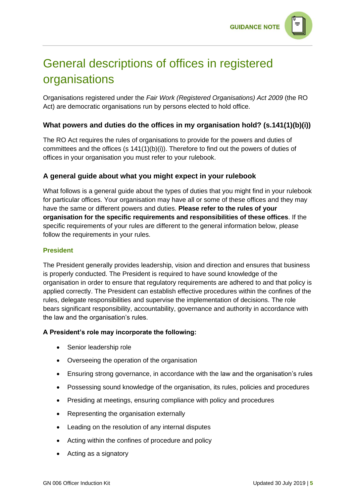

# General descriptions of offices in registered organisations

Organisations registered under the *Fair Work (Registered Organisations) Act 2009* (the RO Act) are democratic organisations run by persons elected to hold office.

#### **What powers and duties do the offices in my organisation hold? (s.141(1)(b)(i))**

The RO Act requires the rules of organisations to provide for the powers and duties of committees and the offices (s 141(1)(b)(i)). Therefore to find out the powers of duties of offices in your organisation you must refer to your rulebook.

#### **A general guide about what you might expect in your rulebook**

What follows is a general guide about the types of duties that you might find in your rulebook for particular offices. Your organisation may have all or some of these offices and they may have the same or different powers and duties. **Please refer to the rules of your organisation for the specific requirements and responsibilities of these offices**. If the specific requirements of your rules are different to the general information below, please follow the requirements in your rules.

#### **President**

The President generally provides leadership, vision and direction and ensures that business is properly conducted. The President is required to have sound knowledge of the organisation in order to ensure that regulatory requirements are adhered to and that policy is applied correctly. The President can establish effective procedures within the confines of the rules, delegate responsibilities and supervise the implementation of decisions. The role bears significant responsibility, accountability, governance and authority in accordance with the law and the organisation's rules.

#### **A President's role may incorporate the following:**

- Senior leadership role
- Overseeing the operation of the organisation
- Ensuring strong governance, in accordance with the law and the organisation's rules
- Possessing sound knowledge of the organisation, its rules, policies and procedures
- Presiding at meetings, ensuring compliance with policy and procedures
- Representing the organisation externally
- Leading on the resolution of any internal disputes
- Acting within the confines of procedure and policy
- Acting as a signatory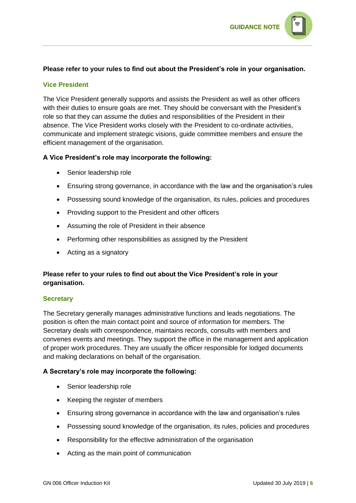

#### **Please refer to your rules to find out about the President's role in your organisation.**

#### **Vice President**

The Vice President generally supports and assists the President as well as other officers with their duties to ensure goals are met. They should be conversant with the President's role so that they can assume the duties and responsibilities of the President in their absence. The Vice President works closely with the President to co-ordinate activities, communicate and implement strategic visions, guide committee members and ensure the efficient management of the organisation.

#### **A Vice President's role may incorporate the following:**

- Senior leadership role
- Ensuring strong governance, in accordance with the law and the organisation's rules
- Possessing sound knowledge of the organisation, its rules, policies and procedures
- Providing support to the President and other officers
- Assuming the role of President in their absence
- Performing other responsibilities as assigned by the President
- Acting as a signatory

#### **Please refer to your rules to find out about the Vice President's role in your organisation.**

#### **Secretary**

The Secretary generally manages administrative functions and leads negotiations. The position is often the main contact point and source of information for members. The Secretary deals with correspondence, maintains records, consults with members and convenes events and meetings. They support the office in the management and application of proper work procedures. They are usually the officer responsible for lodged documents and making declarations on behalf of the organisation.

#### **A Secretary's role may incorporate the following:**

- Senior leadership role
- Keeping the register of members
- Ensuring strong governance in accordance with the law and organisation's rules
- Possessing sound knowledge of the organisation, its rules, policies and procedures
- Responsibility for the effective administration of the organisation
- Acting as the main point of communication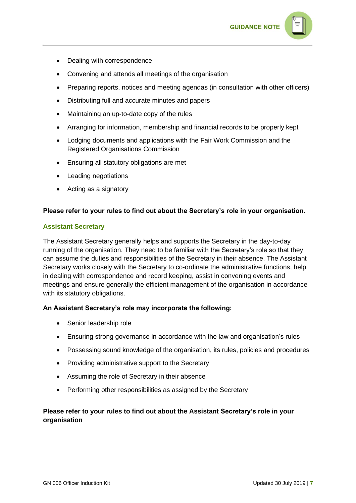

- Dealing with correspondence
- Convening and attends all meetings of the organisation
- Preparing reports, notices and meeting agendas (in consultation with other officers)
- Distributing full and accurate minutes and papers
- Maintaining an up-to-date copy of the rules
- Arranging for information, membership and financial records to be properly kept
- Lodging documents and applications with the Fair Work Commission and the Registered Organisations Commission
- Ensuring all statutory obligations are met
- Leading negotiations
- Acting as a signatory

#### **Please refer to your rules to find out about the Secretary's role in your organisation.**

#### **Assistant Secretary**

The Assistant Secretary generally helps and supports the Secretary in the day-to-day running of the organisation. They need to be familiar with the Secretary's role so that they can assume the duties and responsibilities of the Secretary in their absence. The Assistant Secretary works closely with the Secretary to co-ordinate the administrative functions, help in dealing with correspondence and record keeping, assist in convening events and meetings and ensure generally the efficient management of the organisation in accordance with its statutory obligations.

#### **An Assistant Secretary's role may incorporate the following:**

- Senior leadership role
- Ensuring strong governance in accordance with the law and organisation's rules
- Possessing sound knowledge of the organisation, its rules, policies and procedures
- Providing administrative support to the Secretary
- Assuming the role of Secretary in their absence
- Performing other responsibilities as assigned by the Secretary

#### **Please refer to your rules to find out about the Assistant Secretary's role in your organisation**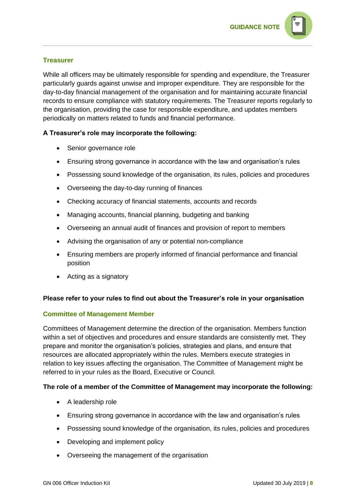

#### **Treasurer**

While all officers may be ultimately responsible for spending and expenditure, the Treasurer particularly guards against unwise and improper expenditure. They are responsible for the day-to-day financial management of the organisation and for maintaining accurate financial records to ensure compliance with statutory requirements. The Treasurer reports regularly to the organisation, providing the case for responsible expenditure, and updates members periodically on matters related to funds and financial performance.

#### **A Treasurer's role may incorporate the following:**

- Senior governance role
- Ensuring strong governance in accordance with the law and organisation's rules
- Possessing sound knowledge of the organisation, its rules, policies and procedures
- Overseeing the day-to-day running of finances
- Checking accuracy of financial statements, accounts and records
- Managing accounts, financial planning, budgeting and banking
- Overseeing an annual audit of finances and provision of report to members
- Advising the organisation of any or potential non-compliance
- Ensuring members are properly informed of financial performance and financial position
- Acting as a signatory

#### **Please refer to your rules to find out about the Treasurer's role in your organisation**

#### **Committee of Management Member**

Committees of Management determine the direction of the organisation. Members function within a set of objectives and procedures and ensure standards are consistently met. They prepare and monitor the organisation's policies, strategies and plans, and ensure that resources are allocated appropriately within the rules. Members execute strategies in relation to key issues affecting the organisation. The Committee of Management might be referred to in your rules as the Board, Executive or Council.

#### **The role of a member of the Committee of Management may incorporate the following:**

- A leadership role
- Ensuring strong governance in accordance with the law and organisation's rules
- Possessing sound knowledge of the organisation, its rules, policies and procedures
- Developing and implement policy
- Overseeing the management of the organisation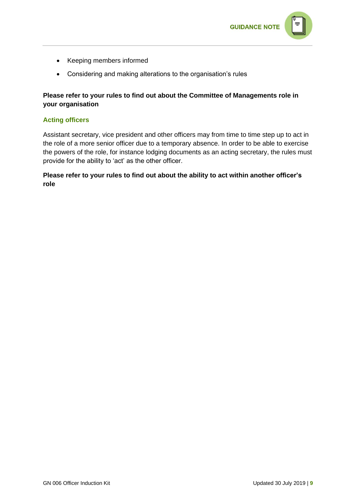

- Keeping members informed
- Considering and making alterations to the organisation's rules

#### **Please refer to your rules to find out about the Committee of Managements role in your organisation**

#### **Acting officers**

Assistant secretary, vice president and other officers may from time to time step up to act in the role of a more senior officer due to a temporary absence. In order to be able to exercise the powers of the role, for instance lodging documents as an acting secretary, the rules must provide for the ability to 'act' as the other officer.

#### **Please refer to your rules to find out about the ability to act within another officer's role**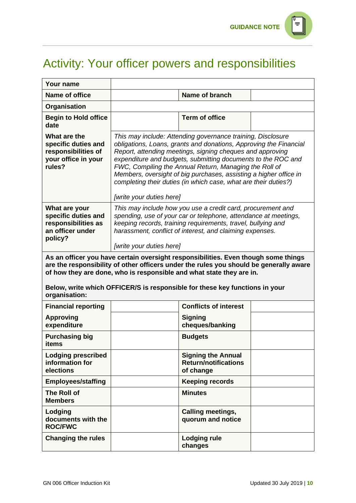

# Activity: Your officer powers and responsibilities

| Your name                                                                                                                                                                                                                                                                                                                                            |                                                                                                                                                                                                                                                                                                                                                                                                                                                                                             |                                                                       |  |
|------------------------------------------------------------------------------------------------------------------------------------------------------------------------------------------------------------------------------------------------------------------------------------------------------------------------------------------------------|---------------------------------------------------------------------------------------------------------------------------------------------------------------------------------------------------------------------------------------------------------------------------------------------------------------------------------------------------------------------------------------------------------------------------------------------------------------------------------------------|-----------------------------------------------------------------------|--|
| Name of office                                                                                                                                                                                                                                                                                                                                       |                                                                                                                                                                                                                                                                                                                                                                                                                                                                                             | Name of branch                                                        |  |
| Organisation                                                                                                                                                                                                                                                                                                                                         |                                                                                                                                                                                                                                                                                                                                                                                                                                                                                             |                                                                       |  |
| <b>Begin to Hold office</b><br>date                                                                                                                                                                                                                                                                                                                  |                                                                                                                                                                                                                                                                                                                                                                                                                                                                                             | <b>Term of office</b>                                                 |  |
| What are the<br>specific duties and<br>responsibilities of<br>your office in your<br>rules?                                                                                                                                                                                                                                                          | This may include: Attending governance training, Disclosure<br>obligations, Loans, grants and donations, Approving the Financial<br>Report, attending meetings, signing cheques and approving<br>expenditure and budgets, submitting documents to the ROC and<br>FWC, Compiling the Annual Return, Managing the Roll of<br>Members, oversight of big purchases, assisting a higher office in<br>completing their duties (in which case, what are their duties?)<br>[write your duties here] |                                                                       |  |
| What are your<br>specific duties and<br>responsibilities as<br>an officer under<br>policy?                                                                                                                                                                                                                                                           | This may include how you use a credit card, procurement and<br>spending, use of your car or telephone, attendance at meetings,<br>keeping records, training requirements, travel, bullying and<br>harassment, conflict of interest, and claiming expenses.<br>[write your duties here]                                                                                                                                                                                                      |                                                                       |  |
| As an officer you have certain oversight responsibilities. Even though some things<br>are the responsibility of other officers under the rules you should be generally aware<br>of how they are done, who is responsible and what state they are in.<br>Below, write which OFFICER/S is responsible for these key functions in your<br>organisation: |                                                                                                                                                                                                                                                                                                                                                                                                                                                                                             |                                                                       |  |
| <b>Financial reporting</b>                                                                                                                                                                                                                                                                                                                           |                                                                                                                                                                                                                                                                                                                                                                                                                                                                                             | <b>Conflicts of interest</b>                                          |  |
| <b>Approving</b><br>expenditure                                                                                                                                                                                                                                                                                                                      |                                                                                                                                                                                                                                                                                                                                                                                                                                                                                             | <b>Signing</b><br>cheques/banking                                     |  |
| <b>Purchasing big</b><br>items                                                                                                                                                                                                                                                                                                                       |                                                                                                                                                                                                                                                                                                                                                                                                                                                                                             | <b>Budgets</b>                                                        |  |
| <b>Lodging prescribed</b><br>information for<br>elections                                                                                                                                                                                                                                                                                            |                                                                                                                                                                                                                                                                                                                                                                                                                                                                                             | <b>Signing the Annual</b><br><b>Return/notifications</b><br>of change |  |
| <b>Employees/staffing</b>                                                                                                                                                                                                                                                                                                                            |                                                                                                                                                                                                                                                                                                                                                                                                                                                                                             | <b>Keeping records</b>                                                |  |
| <b>The Roll of</b><br><b>Members</b>                                                                                                                                                                                                                                                                                                                 |                                                                                                                                                                                                                                                                                                                                                                                                                                                                                             | <b>Minutes</b>                                                        |  |
| Lodging<br>documents with the<br><b>ROC/FWC</b>                                                                                                                                                                                                                                                                                                      |                                                                                                                                                                                                                                                                                                                                                                                                                                                                                             | <b>Calling meetings,</b><br>quorum and notice                         |  |
| <b>Changing the rules</b>                                                                                                                                                                                                                                                                                                                            |                                                                                                                                                                                                                                                                                                                                                                                                                                                                                             | <b>Lodging rule</b><br>changes                                        |  |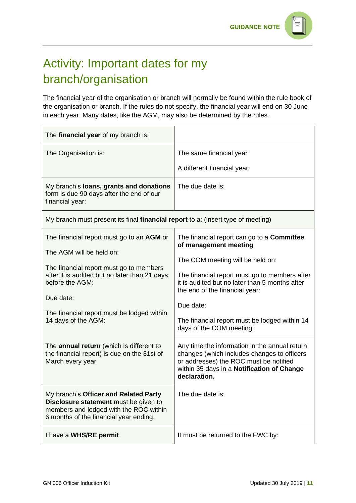# Activity: Important dates for my branch/organisation

The financial year of the organisation or branch will normally be found within the rule book of the organisation or branch. If the rules do not specify, the financial year will end on 30 June in each year. Many dates, like the AGM, may also be determined by the rules.

| The financial year of my branch is:                                                                                                                                                                                                                                    |                                                                                                                                                                                                                                                                                                                                               |  |
|------------------------------------------------------------------------------------------------------------------------------------------------------------------------------------------------------------------------------------------------------------------------|-----------------------------------------------------------------------------------------------------------------------------------------------------------------------------------------------------------------------------------------------------------------------------------------------------------------------------------------------|--|
| The Organisation is:                                                                                                                                                                                                                                                   | The same financial year<br>A different financial year:                                                                                                                                                                                                                                                                                        |  |
| My branch's loans, grants and donations<br>form is due 90 days after the end of our<br>financial year:                                                                                                                                                                 | The due date is:                                                                                                                                                                                                                                                                                                                              |  |
| My branch must present its final financial report to a: (insert type of meeting)                                                                                                                                                                                       |                                                                                                                                                                                                                                                                                                                                               |  |
| The financial report must go to an AGM or<br>The AGM will be held on:<br>The financial report must go to members<br>after it is audited but no later than 21 days<br>before the AGM:<br>Due date:<br>The financial report must be lodged within<br>14 days of the AGM: | The financial report can go to a <b>Committee</b><br>of management meeting<br>The COM meeting will be held on:<br>The financial report must go to members after<br>it is audited but no later than 5 months after<br>the end of the financial year:<br>Due date:<br>The financial report must be lodged within 14<br>days of the COM meeting: |  |
| The annual return (which is different to<br>the financial report) is due on the 31st of<br>March every year                                                                                                                                                            | Any time the information in the annual return<br>changes (which includes changes to officers<br>or addresses) the ROC must be notified<br>within 35 days in a Notification of Change<br>declaration.                                                                                                                                          |  |
| My branch's Officer and Related Party<br><b>Disclosure statement</b> must be given to<br>members and lodged with the ROC within<br>6 months of the financial year ending.                                                                                              | The due date is:                                                                                                                                                                                                                                                                                                                              |  |
| I have a WHS/RE permit                                                                                                                                                                                                                                                 | It must be returned to the FWC by:                                                                                                                                                                                                                                                                                                            |  |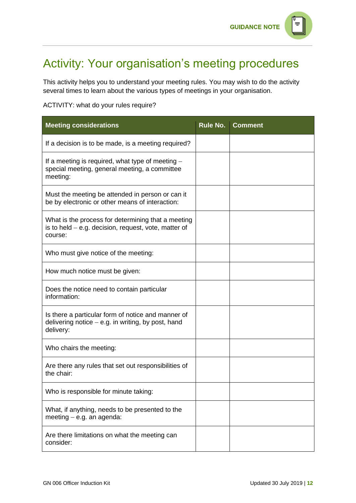

### Activity: Your organisation's meeting procedures

This activity helps you to understand your meeting rules. You may wish to do the activity several times to learn about the various types of meetings in your organisation.

#### ACTIVITY: what do your rules require?

| <b>Meeting considerations</b>                                                                                           | Rule No. | <b>Comment</b> |
|-------------------------------------------------------------------------------------------------------------------------|----------|----------------|
| If a decision is to be made, is a meeting required?                                                                     |          |                |
| If a meeting is required, what type of meeting $-$<br>special meeting, general meeting, a committee<br>meeting:         |          |                |
| Must the meeting be attended in person or can it<br>be by electronic or other means of interaction:                     |          |                |
| What is the process for determining that a meeting<br>is to held $-$ e.g. decision, request, vote, matter of<br>course: |          |                |
| Who must give notice of the meeting:                                                                                    |          |                |
| How much notice must be given:                                                                                          |          |                |
| Does the notice need to contain particular<br>information:                                                              |          |                |
| Is there a particular form of notice and manner of<br>delivering notice $-$ e.g. in writing, by post, hand<br>delivery: |          |                |
| Who chairs the meeting:                                                                                                 |          |                |
| Are there any rules that set out responsibilities of<br>the chair:                                                      |          |                |
| Who is responsible for minute taking:                                                                                   |          |                |
| What, if anything, needs to be presented to the<br>meeting $-$ e.g. an agenda:                                          |          |                |
| Are there limitations on what the meeting can<br>consider:                                                              |          |                |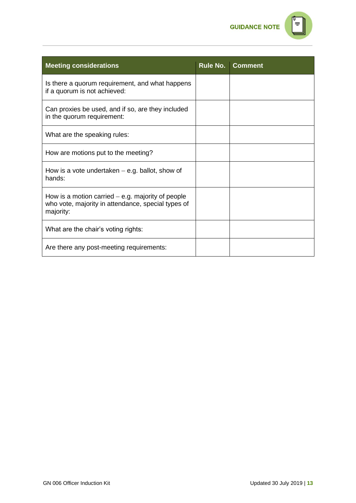

|   | п |  |
|---|---|--|
| ۰ |   |  |
|   |   |  |

| <b>Meeting considerations</b>                                                                                          | Rule No. | <b>Comment</b> |
|------------------------------------------------------------------------------------------------------------------------|----------|----------------|
| Is there a quorum requirement, and what happens<br>if a quorum is not achieved:                                        |          |                |
| Can proxies be used, and if so, are they included<br>in the quorum requirement:                                        |          |                |
| What are the speaking rules:                                                                                           |          |                |
| How are motions put to the meeting?                                                                                    |          |                |
| How is a vote undertaken $-$ e.g. ballot, show of<br>hands:                                                            |          |                |
| How is a motion carried $-$ e.g. majority of people<br>who vote, majority in attendance, special types of<br>majority: |          |                |
| What are the chair's voting rights:                                                                                    |          |                |
| Are there any post-meeting requirements:                                                                               |          |                |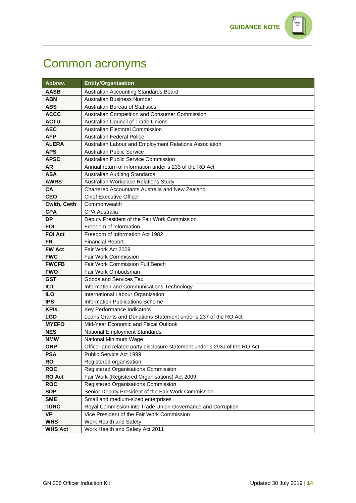# Common acronyms

| Abbrev.                  | <b>Entity/Organisation</b>                                                |
|--------------------------|---------------------------------------------------------------------------|
| <b>AASB</b>              | Australian Accounting Standards Board                                     |
| <b>ABN</b>               | Australian Business Number                                                |
| <b>ABS</b>               | <b>Australian Bureau of Statistics</b>                                    |
| <b>ACCC</b>              | Australian Competition and Consumer Commission                            |
| <b>ACTU</b>              | <b>Australian Council of Trade Unions</b>                                 |
| <b>AEC</b>               | Australian Electoral Commission                                           |
| <b>AFP</b>               | <b>Australian Federal Police</b>                                          |
| <b>ALERA</b>             | Australian Labour and Employment Relations Association                    |
| <b>APS</b>               | Australian Public Service                                                 |
| <b>APSC</b>              | Australian Public Service Commission                                      |
| <b>AR</b>                | Annual return of information under s 233 of the RO Act                    |
| <b>ASA</b>               | <b>Australian Auditing Standards</b>                                      |
| <b>AWRS</b>              | Australian Workplace Relations Study                                      |
| <b>CA</b>                | Chartered Accountants Australia and New Zealand                           |
| <b>CEO</b>               | <b>Chief Executive Officer</b>                                            |
| Cwlth, Cwth              | Commonwealth                                                              |
| <b>CPA</b>               | <b>CPA Australia</b>                                                      |
| <b>DP</b>                | Deputy President of the Fair Work Commission                              |
| <b>FOI</b>               | Freedom of information                                                    |
| <b>FOI Act</b>           | Freedom of Information Act 1982                                           |
| <b>FR</b>                | <b>Financial Report</b>                                                   |
| <b>FW Act</b>            | Fair Work Act 2009                                                        |
| <b>FWC</b>               | <b>Fair Work Commission</b>                                               |
| <b>FWCFB</b>             | <b>Fair Work Commission Full Bench</b>                                    |
| <b>FWO</b>               | Fair Work Ombudsman                                                       |
| <b>GST</b>               | Goods and Services Tax                                                    |
| <b>ICT</b>               | Information and Communications Technology                                 |
| <b>ILO</b><br><b>IPS</b> | International Labour Organization<br>Information Publications Scheme      |
| <b>KPIs</b>              | Key Performance Indicators                                                |
| <b>LGD</b>               | Loans Grants and Donations Statement under s 237 of the RO Act            |
| <b>MYEFO</b>             | Mid-Year Economic and Fiscal Outlook                                      |
| <b>NES</b>               | National Employment Standards                                             |
| <b>NMW</b>               | National Minimum Wage                                                     |
| <b>ORP</b>               | Officer and related party disclosure statement under s 293J of the RO Act |
| <b>PSA</b>               | Public Service Act 1999                                                   |
| <b>RO</b>                | Registered organisation                                                   |
| <b>ROC</b>               | Registered Organisations Commission                                       |
| <b>RO Act</b>            | Fair Work (Registered Organisations) Act 2009                             |
| <b>ROC</b>               | Registered Organisations Commission                                       |
| <b>SDP</b>               | Senior Deputy President of the Fair Work Commission                       |
| <b>SME</b>               | Small and medium-sized enterprises                                        |
| <b>TURC</b>              | Royal Commission into Trade Union Governance and Corruption               |
| <b>VP</b>                | Vice President of the Fair Work Commission                                |
| <b>WHS</b>               | Work Health and Safety                                                    |
| <b>WHS Act</b>           | Work Health and Safety Act 2011                                           |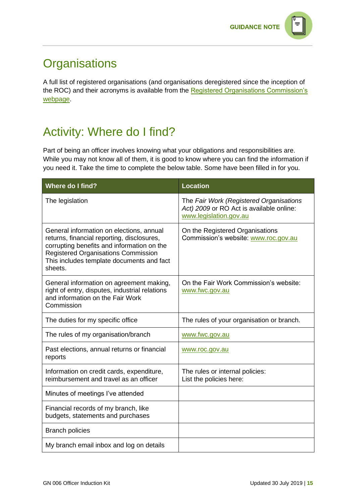

### **Organisations**

A full list of registered organisations (and organisations deregistered since the inception of the ROC) and their acronyms is available from the [Registered Organisations Commission's](https://www.roc.gov.au/find-a-registered-organisation)  [webpage.](https://www.roc.gov.au/find-a-registered-organisation)

# Activity: Where do I find?

Part of being an officer involves knowing what your obligations and responsibilities are. While you may not know all of them, it is good to know where you can find the information if you need it. Take the time to complete the below table. Some have been filled in for you.

| <b>Where do I find?</b>                                                                                                                                                                                                                    | <b>Location</b>                                                                                               |
|--------------------------------------------------------------------------------------------------------------------------------------------------------------------------------------------------------------------------------------------|---------------------------------------------------------------------------------------------------------------|
| The legislation                                                                                                                                                                                                                            | The Fair Work (Registered Organisations<br>Act) 2009 or RO Act is available online:<br>www.legislation.gov.au |
| General information on elections, annual<br>returns, financial reporting, disclosures,<br>corrupting benefits and information on the<br><b>Registered Organisations Commission</b><br>This includes template documents and fact<br>sheets. | On the Registered Organisations<br>Commission's website: www.roc.gov.au                                       |
| General information on agreement making,<br>right of entry, disputes, industrial relations<br>and information on the Fair Work<br>Commission                                                                                               | On the Fair Work Commission's website:<br>www.fwc.gov.au                                                      |
| The duties for my specific office                                                                                                                                                                                                          | The rules of your organisation or branch.                                                                     |
| The rules of my organisation/branch                                                                                                                                                                                                        | www.fwc.gov.au                                                                                                |
| Past elections, annual returns or financial<br>reports                                                                                                                                                                                     | www.roc.gov.au                                                                                                |
| Information on credit cards, expenditure,<br>reimbursement and travel as an officer                                                                                                                                                        | The rules or internal policies:<br>List the policies here:                                                    |
| Minutes of meetings I've attended                                                                                                                                                                                                          |                                                                                                               |
| Financial records of my branch, like<br>budgets, statements and purchases                                                                                                                                                                  |                                                                                                               |
| <b>Branch policies</b>                                                                                                                                                                                                                     |                                                                                                               |
| My branch email inbox and log on details                                                                                                                                                                                                   |                                                                                                               |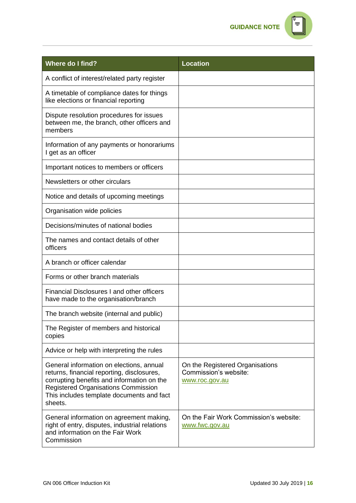**GUIDANCE NOTE** 



| <b>Where do I find?</b>                                                                                                                                                                                                                    | <b>Location</b>                                                            |
|--------------------------------------------------------------------------------------------------------------------------------------------------------------------------------------------------------------------------------------------|----------------------------------------------------------------------------|
| A conflict of interest/related party register                                                                                                                                                                                              |                                                                            |
| A timetable of compliance dates for things<br>like elections or financial reporting                                                                                                                                                        |                                                                            |
| Dispute resolution procedures for issues<br>between me, the branch, other officers and<br>members                                                                                                                                          |                                                                            |
| Information of any payments or honorariums<br>I get as an officer                                                                                                                                                                          |                                                                            |
| Important notices to members or officers                                                                                                                                                                                                   |                                                                            |
| Newsletters or other circulars                                                                                                                                                                                                             |                                                                            |
| Notice and details of upcoming meetings                                                                                                                                                                                                    |                                                                            |
| Organisation wide policies                                                                                                                                                                                                                 |                                                                            |
| Decisions/minutes of national bodies                                                                                                                                                                                                       |                                                                            |
| The names and contact details of other<br>officers                                                                                                                                                                                         |                                                                            |
| A branch or officer calendar                                                                                                                                                                                                               |                                                                            |
| Forms or other branch materials                                                                                                                                                                                                            |                                                                            |
| Financial Disclosures I and other officers<br>have made to the organisation/branch                                                                                                                                                         |                                                                            |
| The branch website (internal and public)                                                                                                                                                                                                   |                                                                            |
| The Register of members and historical<br>copies                                                                                                                                                                                           |                                                                            |
| Advice or help with interpreting the rules                                                                                                                                                                                                 |                                                                            |
| General information on elections, annual<br>returns, financial reporting, disclosures,<br>corrupting benefits and information on the<br><b>Registered Organisations Commission</b><br>This includes template documents and fact<br>sheets. | On the Registered Organisations<br>Commission's website:<br>www.roc.gov.au |
| General information on agreement making,<br>right of entry, disputes, industrial relations<br>and information on the Fair Work<br>Commission                                                                                               | On the Fair Work Commission's website:<br>www.fwc.gov.au                   |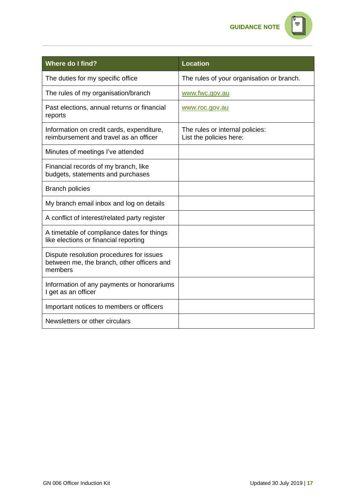**GUIDANCE NOTE** 

| T |  |
|---|--|
|   |  |
|   |  |
|   |  |
|   |  |

| <b>Where do I find?</b>                                                                           | <b>Location</b>                                            |
|---------------------------------------------------------------------------------------------------|------------------------------------------------------------|
| The duties for my specific office                                                                 | The rules of your organisation or branch.                  |
| The rules of my organisation/branch                                                               | www.fwc.gov.au                                             |
| Past elections, annual returns or financial<br>reports                                            | www.roc.gov.au                                             |
| Information on credit cards, expenditure,<br>reimbursement and travel as an officer               | The rules or internal policies:<br>List the policies here: |
| Minutes of meetings I've attended                                                                 |                                                            |
| Financial records of my branch, like<br>budgets, statements and purchases                         |                                                            |
| <b>Branch policies</b>                                                                            |                                                            |
| My branch email inbox and log on details                                                          |                                                            |
| A conflict of interest/related party register                                                     |                                                            |
| A timetable of compliance dates for things<br>like elections or financial reporting               |                                                            |
| Dispute resolution procedures for issues<br>between me, the branch, other officers and<br>members |                                                            |
| Information of any payments or honorariums<br>I get as an officer                                 |                                                            |
| Important notices to members or officers                                                          |                                                            |
| Newsletters or other circulars                                                                    |                                                            |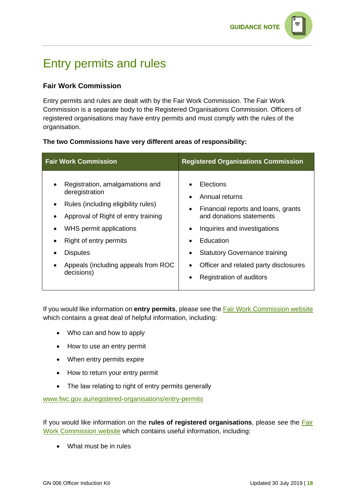### Entry permits and rules

#### **Fair Work Commission**

Entry permits and rules are dealt with by the Fair Work Commission. The Fair Work Commission is a separate body to the Registered Organisations Commission. Officers of registered organisations may have entry permits and must comply with the rules of the organisation.

#### **The two Commissions have very different areas of responsibility:**

| <b>Fair Work Commission</b>                                                                                                                                                                                                                                  | <b>Registered Organisations Commission</b>                                                                                                                                                                                                                                         |
|--------------------------------------------------------------------------------------------------------------------------------------------------------------------------------------------------------------------------------------------------------------|------------------------------------------------------------------------------------------------------------------------------------------------------------------------------------------------------------------------------------------------------------------------------------|
| Registration, amalgamations and<br>deregistration<br>Rules (including eligibility rules)<br>Approval of Right of entry training<br>WHS permit applications<br>Right of entry permits<br><b>Disputes</b><br>Appeals (including appeals from ROC<br>decisions) | Elections<br>Annual returns<br>Financial reports and loans, grants<br>$\bullet$<br>and donations statements<br>Inquiries and investigations<br>Education<br>$\bullet$<br><b>Statutory Governance training</b><br>Officer and related party disclosures<br>Registration of auditors |

If you would like information on **entry permits**, please see the **Fair Work Commission website** which contains a great deal of helpful information, including:

- Who can and how to apply
- How to use an entry permit
- When entry permits expire
- How to return your entry permit
- The law relating to right of entry permits generally

[www.fwc.gov.au/registered-organisations/entry-permits](https://www.fwc.gov.au/registered-organisations/entry-permits)

If you would like information on the **rules of registered organisations**, please see the [Fair](https://www.fwc.gov.au/registered-organisations/running-registered-organisation/organisations-rules)  [Work Commission website](https://www.fwc.gov.au/registered-organisations/running-registered-organisation/organisations-rules) which contains useful information, including:

• What must be in rules